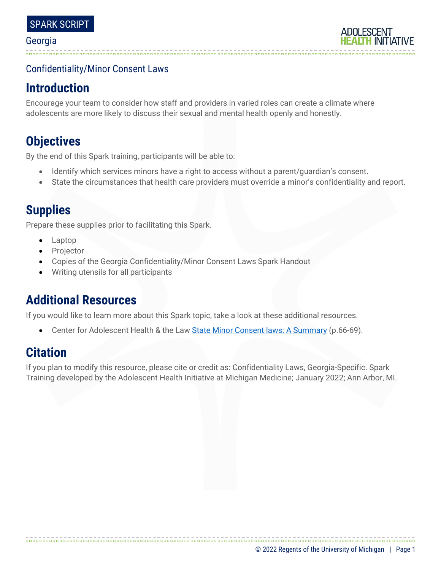### Confidentiality/Minor Consent Laws

## **Introduction**

Encourage your team to consider how staff and providers in varied roles can create a climate where adolescents are more likely to discuss their sexual and mental health openly and honestly.

# **Objectives**

By the end of this Spark training, participants will be able to:

- Identify which services minors have a right to access without a parent/guardian's consent.
- State the circumstances that health care providers must override a minor's confidentiality and report.

## **Supplies**

Prepare these supplies prior to facilitating this Spark.

- Laptop
- **Projector**
- Copies of the Georgia Confidentiality/Minor Consent Laws Spark Handout
- Writing utensils for all participants

## **Additional Resources**

If you would like to learn more about this Spark topic, take a look at these additional resources.

Center for Adolescent Health & the Law [State Minor Consent laws: A Summary](https://www.freelists.org/archives/hilac/02-2014/pdftRo8tw89mb.pdf) (p.66-69).

## **Citation**

If you plan to modify this resource, please cite or credit as: Confidentiality Laws, Georgia-Specific. Spark Training developed by the Adolescent Health Initiative at Michigan Medicine; January 2022; Ann Arbor, MI.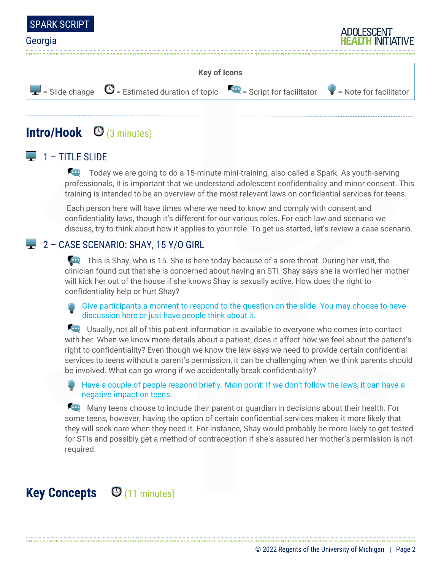



## **Intro/Hook** (3 minutes)

## $\Box$  1 – TITLE SLIDE

Today we are going to do a 15-minute mini-training, also called a Spark. As youth-serving professionals, it is important that we understand adolescent confidentiality and minor consent. This training is intended to be an overview of the most relevant laws on confidential services for teens.

Each person here will have times where we need to know and comply with consent and confidentiality laws, though it's different for our various roles. For each law and scenario we discuss, try to think about how it applies to your role. To get us started, let's review a case scenario.

### 2 – CASE SCENARIO: SHAY, 15 Y/O GIRL

**This is Shay, who is 15. She is here today because of a sore throat. During her visit, the** clinician found out that she is concerned about having an STI. Shay says she is worried her mother will kick her out of the house if she knows Shay is sexually active. How does the right to confidentiality help or hurt Shay?

Give participants a moment to respond to the question on the slide. You may choose to have discussion here or just have people think about it.

Usually, not all of this patient information is available to everyone who comes into contact with her. When we know more details about a patient, does it affect how we feel about the patient's right to confidentiality? Even though we know the law says we need to provide certain confidential services to teens without a parent's permission, it can be challenging when we think parents should be involved. What can go wrong if we accidentally break confidentiality?

Have a couple of people respond briefly. Main point: If we don't follow the laws, it can have a negative impact on teens.

Many teens choose to include their parent or guardian in decisions about their health. For some teens, however, having the option of certain confidential services makes it more likely that they will seek care when they need it. For instance, Shay would probably be more likely to get tested for STIs and possibly get a method of contraception if she's assured her mother's permission is not required.

# **Key Concepts** © (11 minutes)

© 2022 Regents of the University of Michigan | Page 2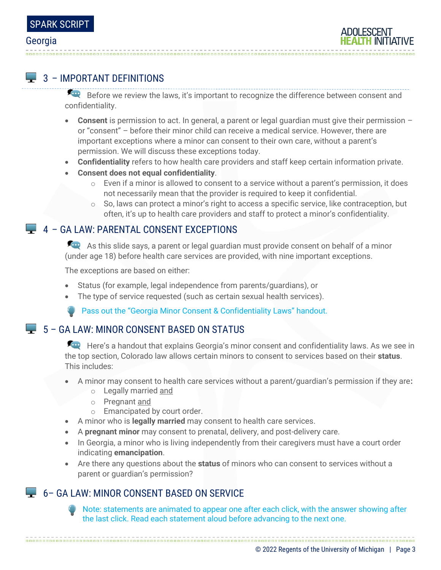

### $\Box$  3 – IMPORTANT DEFINITIONS

Before we review the laws, it's important to recognize the difference between consent and confidentiality.

- **Consent** is permission to act. In general, a parent or legal guardian must give their permission or "consent" – before their minor child can receive a medical service. However, there are important exceptions where a minor can consent to their own care, without a parent's permission. We will discuss these exceptions today.
- **Confidentiality** refers to how health care providers and staff keep certain information private.
- **Consent does not equal confidentiality**.
	- $\circ$  Even if a minor is allowed to consent to a service without a parent's permission, it does not necessarily mean that the provider is required to keep it confidential.
	- $\circ$  So, laws can protect a minor's right to access a specific service, like contraception, but often, it's up to health care providers and staff to protect a minor's confidentiality.

### 4 – GA LAW: PARENTAL CONSENT EXCEPTIONS

As this slide says, a parent or legal guardian must provide consent on behalf of a minor (under age 18) before health care services are provided, with nine important exceptions.

The exceptions are based on either:

- Status (for example, legal independence from parents/guardians), or
- The type of service requested (such as certain sexual health services).

Pass out the "Georgia Minor Consent & Confidentiality Laws" handout.

### $\Box$  5 – GA LAW: MINOR CONSENT BASED ON STATUS

Here's a handout that explains Georgia's minor consent and confidentiality laws. As we see in the top section, Colorado law allows certain minors to consent to services based on their **status**. This includes:

- A minor may consent to health care services without a parent/guardian's permission if they are**:**
	- o Legally married and
	- o Pregnant and
	- o Emancipated by court order.
- A minor who is **legally married** may consent to health care services.
- A **pregnant minor** may consent to prenatal, delivery, and post-delivery care.
- In Georgia, a minor who is living independently from their caregivers must have a court order indicating **emancipation**.
- Are there any questions about the **status** of minors who can consent to services without a parent or guardian's permission?

### 6 - GA LAW: MINOR CONSENT BASED ON SERVICE

Note: statements are animated to appear one after each click, with the answer showing after the last click. Read each statement aloud before advancing to the next one.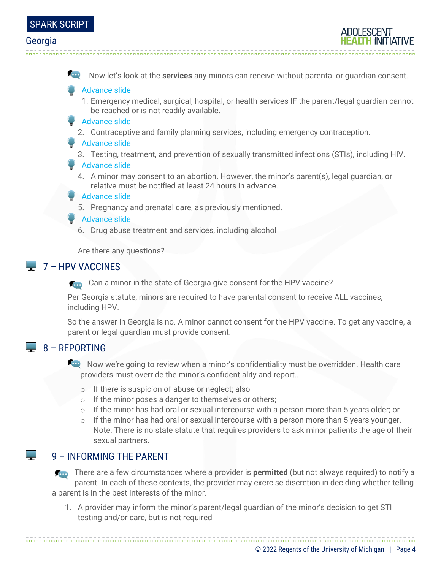

Now let's look at the **services** any minors can receive without parental or guardian consent.

#### Advance slide

- 1. Emergency medical, surgical, hospital, or health services IF the parent/legal guardian cannot be reached or is not readily available.
- **Advance slide** 
	- 2. Contraceptive and family planning services, including emergency contraception.

#### **Advance slide**

3. Testing, treatment, and prevention of sexually transmitted infections (STIs), including HIV.

#### Advance slide

4. A minor may consent to an abortion. However, the minor's parent(s), legal guardian, or relative must be notified at least 24 hours in advance.

#### Advance slide

5. Pregnancy and prenatal care, as previously mentioned.

#### Advance slide

6. Drug abuse treatment and services, including alcohol

Are there any questions?

### $7 - HPV$  VACCINES

Can a minor in the state of Georgia give consent for the HPV vaccine?

Per Georgia statute, minors are required to have parental consent to receive ALL vaccines, including HPV.

So the answer in Georgia is no. A minor cannot consent for the HPV vaccine. To get any vaccine, a parent or legal guardian must provide consent.

### $\Box$  8 – REPORTING

 $\mathbb{R}^n$ 

Now we're going to review when a minor's confidentiality must be overridden. Health care providers must override the minor's confidentiality and report…

- o If there is suspicion of abuse or neglect; also
- o If the minor poses a danger to themselves or others;
- $\circ$  If the minor has had oral or sexual intercourse with a person more than 5 years older; or
- $\circ$  If the minor has had oral or sexual intercourse with a person more than 5 years younger. Note: There is no state statute that requires providers to ask minor patients the age of their sexual partners.

### 9 – INFORMING THE PARENT

**There are a few circumstances where a provider is <b>permitted** (but not always required) to notify a parent. In each of these contexts, the provider may exercise discretion in deciding whether telling a parent is in the best interests of the minor.

1. A provider may inform the minor's parent/legal guardian of the minor's decision to get STI testing and/or care, but is not required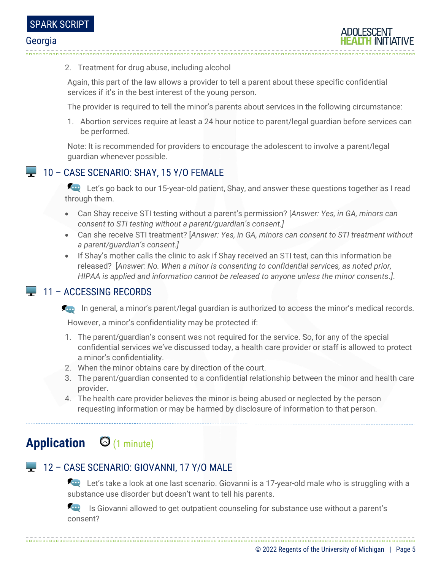

2. Treatment for drug abuse, including alcohol

Again, this part of the law allows a provider to tell a parent about these specific confidential services if it's in the best interest of the young person.

The provider is required to tell the minor's parents about services in the following circumstance:

1. Abortion services require at least a 24 hour notice to parent/legal guardian before services can be performed.

Note: It is recommended for providers to encourage the adolescent to involve a parent/legal guardian whenever possible.

### 10 – CASE SCENARIO: SHAY, 15 Y/O FEMALE

Let's go back to our 15-year-old patient, Shay, and answer these questions together as I read through them.

- Can Shay receive STI testing without a parent's permission? [*Answer: Yes, in GA, minors can consent to STI testing without a parent/guardian's consent.]*
- Can she receive STI treatment? [*Answer: Yes, in GA, minors can consent to STI treatment without a parent/guardian's consent.]*
- If Shay's mother calls the clinic to ask if Shay received an STI test, can this information be released? [*Answer: No. When a minor is consenting to confidential services, as noted prior, HIPAA is applied and information cannot be released to anyone unless the minor consents.]*.

### 11 – ACCESSING RECORDS

**In general, a minor's parent/legal guardian is authorized to access the minor's medical records.** 

However, a minor's confidentiality may be protected if:

- 1. The parent/guardian's consent was not required for the service. So, for any of the special confidential services we've discussed today, a health care provider or staff is allowed to protect a minor's confidentiality.
- 2. When the minor obtains care by direction of the court.
- 3. The parent/guardian consented to a confidential relationship between the minor and health care provider.
- 4. The health care provider believes the minor is being abused or neglected by the person requesting information or may be harmed by disclosure of information to that person.

# **Application** (1 minute)

## 12 – CASE SCENARIO: GIOVANNI, 17 Y/O MALE

Let's take a look at one last scenario. Giovanni is a 17-year-old male who is struggling with a substance use disorder but doesn't want to tell his parents.

**In August 1** Is Giovanni allowed to get outpatient counseling for substance use without a parent's consent?